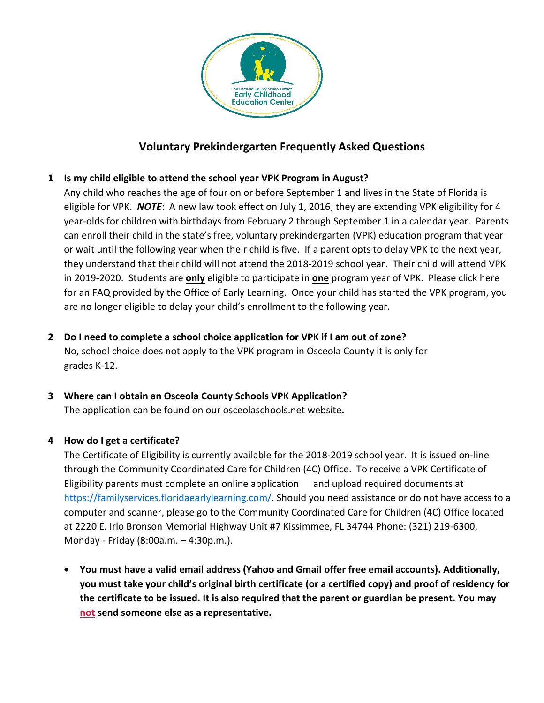

# **Voluntary Prekindergarten Frequently Asked Questions**

# **1 Is my child eligible to attend the school year VPK Program in August?**

Any child who reaches the age of four on or before September 1 and lives in the State of Florida is eligible for VPK. *NOTE*: A new law took effect on July 1, 2016; they are extending VPK eligibility for 4 year-olds for children with birthdays from February 2 through September 1 in a calendar year. Parents can enroll their child in the state's free, voluntary prekindergarten (VPK) education program that year or wait until the following year when their child is five. If a parent opts to delay VPK to the next year, they understand that their child will not attend the 2018-2019 school year. Their child will attend VPK in 2019-2020. Students are **only** eligible to participate in **one** program year of VPK. Please click here for an FAQ provided by the Office of Early Learning. Once your child has started the VPK program, you are no longer eligible to delay your child's enrollment to the following year.

**2 Do I need to complete a school choice application for VPK if I am out of zone?**  No, school choice does not apply to the VPK program in Osceola County it is only for grades K-12.

# **3 Where can I obtain an Osceola County Schools VPK Application?**

The application can be found on our osceolaschools.net website**.** 

### **4 How do I get a certificate?**

The Certificate of Eligibility is currently available for the 2018-2019 school year. It is issued on-line through the Community Coordinated Care for Children (4C) Office. To receive a VPK Certificate of Eligibility parents must complete an online application and upload required documents at [https://familyservices.floridaearlylearning.com/.](https://familyservices.floridaearlylearning.com/) Should you need assistance or do not have access to a computer and scanner, please go to the Community Coordinated Care for Children (4C) Office located at 2220 E. Irlo Bronson Memorial Highway Unit #7 Kissimmee, FL 34744 Phone: (321) 219-6300, Monday - Friday (8:00a.m. – 4:30p.m.).

• **You must have a valid email address (Yahoo and Gmail offer free email accounts). Additionally, you must take your child's original birth certificate (or a certified copy) and proof of residency for the certificate to be issued. It is also required that the parent or guardian be present. You may not send someone else as a representative.**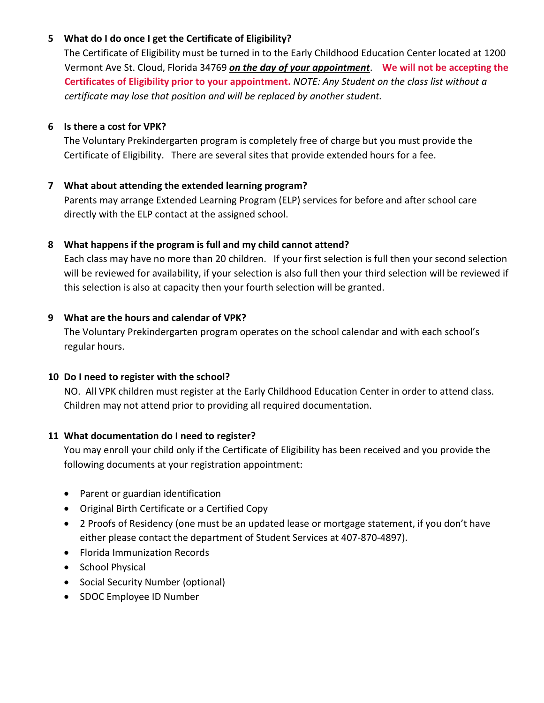## **5 What do I do once I get the Certificate of Eligibility?**

The Certificate of Eligibility must be turned in to the Early Childhood Education Center located at 1200 Vermont Ave St. Cloud, Florida 34769 *on the day of your appointment*. **We will not be accepting the Certificates of Eligibility prior to your appointment.** *NOTE: Any Student on the class list without a certificate may lose that position and will be replaced by another student.* 

## **6 Is there a cost for VPK?**

The Voluntary Prekindergarten program is completely free of charge but you must provide the Certificate of Eligibility. There are several sites that provide extended hours for a fee.

# **7 What about attending the extended learning program?**

Parents may arrange Extended Learning Program (ELP) services for before and after school care directly with the ELP contact at the assigned school.

# **8 What happens if the program is full and my child cannot attend?**

Each class may have no more than 20 children. If your first selection is full then your second selection will be reviewed for availability, if your selection is also full then your third selection will be reviewed if this selection is also at capacity then your fourth selection will be granted.

# **9 What are the hours and calendar of VPK?**

The Voluntary Prekindergarten program operates on the school calendar and with each school's regular hours.

### **10 Do I need to register with the school?**

NO. All VPK children must register at the Early Childhood Education Center in order to attend class. Children may not attend prior to providing all required documentation.

### **11 What documentation do I need to register?**

You may enroll your child only if the Certificate of Eligibility has been received and you provide the following documents at your registration appointment:

- Parent or guardian identification
- Original Birth Certificate or a Certified Copy
- 2 Proofs of Residency (one must be an updated lease or mortgage statement, if you don't have either please contact the department of Student Services at 407-870-4897).
- Florida Immunization Records
- School Physical
- Social Security Number (optional)
- SDOC Employee ID Number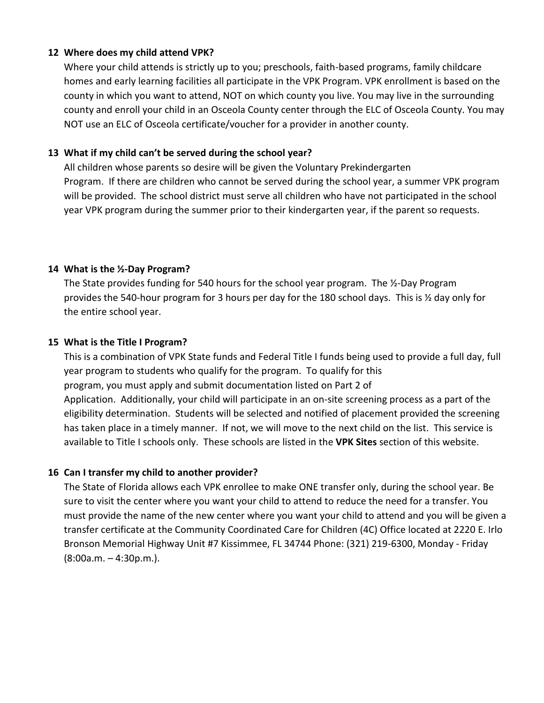#### **12 Where does my child attend VPK?**

Where your child attends is strictly up to you; preschools, faith-based programs, family childcare homes and early learning facilities all participate in the VPK Program. VPK enrollment is based on the county in which you want to attend, NOT on which county you live. You may live in the surrounding county and enroll your child in an Osceola County center through the ELC of Osceola County. You may NOT use an ELC of Osceola certificate/voucher for a provider in another county.

## **13 What if my child can't be served during the school year?**

All children whose parents so desire will be given the Voluntary Prekindergarten Program. If there are children who cannot be served during the school year, a summer VPK program will be provided. The school district must serve all children who have not participated in the school year VPK program during the summer prior to their kindergarten year, if the parent so requests.

### **14 What is the ½-Day Program?**

The State provides funding for 540 hours for the school year program. The ½-Day Program provides the 540-hour program for 3 hours per day for the 180 school days. This is ½ day only for the entire school year.

#### **15 What is the Title I Program?**

This is a combination of VPK State funds and Federal Title I funds being used to provide a full day, full year program to students who qualify for the program. To qualify for this program, you must apply and submit documentation listed on Part 2 of Application. Additionally, your child will participate in an on-site screening process as a part of the eligibility determination. Students will be selected and notified of placement provided the screening has taken place in a timely manner. If not, we will move to the next child on the list. This service is available to Title I schools only. These schools are listed in the **VPK Sites** section of this website.

### **16 Can I transfer my child to another provider?**

The State of Florida allows each VPK enrollee to make ONE transfer only, during the school year. Be sure to visit the center where you want your child to attend to reduce the need for a transfer. You must provide the name of the new center where you want your child to attend and you will be given a transfer certificate at the Community Coordinated Care for Children (4C) Office located at 2220 E. Irlo Bronson Memorial Highway Unit #7 Kissimmee, FL 34744 Phone: (321) 219-6300, Monday - Friday (8:00a.m. – 4:30p.m.).